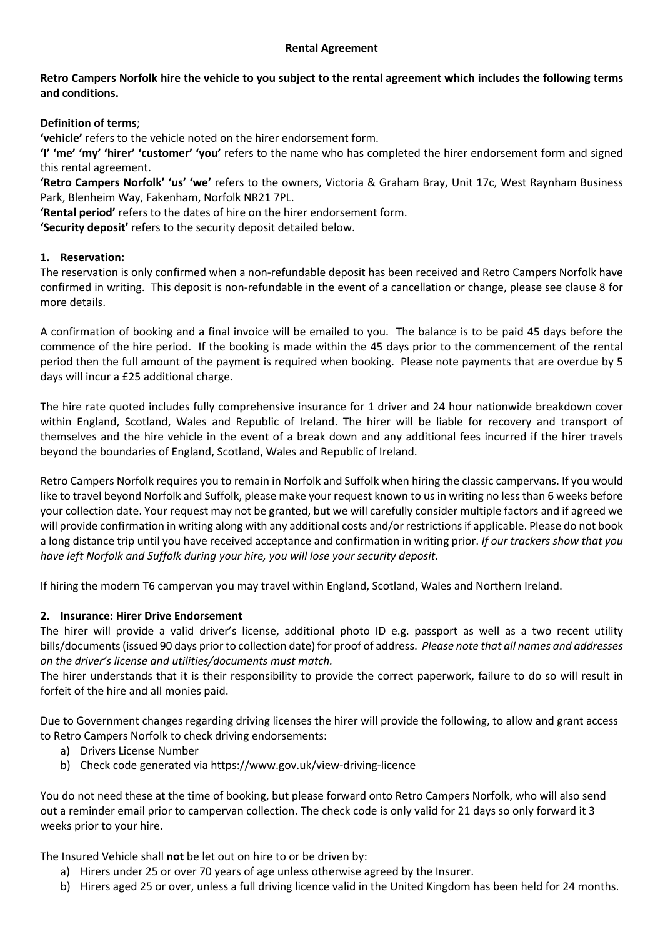#### **Rental Agreement**

## **Retro Campers Norfolk hire the vehicle to you subject to the rental agreement which includes the following terms and conditions.**

## **Definition of terms**;

**'vehicle'** refers to the vehicle noted on the hirer endorsement form.

**'I' 'me' 'my' 'hirer' 'customer' 'you'** refers to the name who has completed the hirer endorsement form and signed this rental agreement.

**'Retro Campers Norfolk' 'us' 'we'** refers to the owners, Victoria & Graham Bray, Unit 17c, West Raynham Business Park, Blenheim Way, Fakenham, Norfolk NR21 7PL.

**'Rental period'** refers to the dates of hire on the hirer endorsement form.

**'Security deposit'** refers to the security deposit detailed below.

#### **1. Reservation:**

The reservation is only confirmed when a non-refundable deposit has been received and Retro Campers Norfolk have confirmed in writing. This deposit is non-refundable in the event of a cancellation or change, please see clause 8 for more details.

A confirmation of booking and a final invoice will be emailed to you. The balance is to be paid 45 days before the commence of the hire period. If the booking is made within the 45 days prior to the commencement of the rental period then the full amount of the payment is required when booking. Please note payments that are overdue by 5 days will incur a £25 additional charge.

The hire rate quoted includes fully comprehensive insurance for 1 driver and 24 hour nationwide breakdown cover within England, Scotland, Wales and Republic of Ireland. The hirer will be liable for recovery and transport of themselves and the hire vehicle in the event of a break down and any additional fees incurred if the hirer travels beyond the boundaries of England, Scotland, Wales and Republic of Ireland.

Retro Campers Norfolk requires you to remain in Norfolk and Suffolk when hiring the classic campervans. If you would like to travel beyond Norfolk and Suffolk, please make your request known to us in writing no less than 6 weeks before your collection date. Your request may not be granted, but we will carefully consider multiple factors and if agreed we will provide confirmation in writing along with any additional costs and/or restrictions if applicable. Please do not book a long distance trip until you have received acceptance and confirmation in writing prior. *If our trackers show that you have left Norfolk and Suffolk during your hire, you will lose your security deposit.*

If hiring the modern T6 campervan you may travel within England, Scotland, Wales and Northern Ireland.

## **2. Insurance: Hirer Drive Endorsement**

The hirer will provide a valid driver's license, additional photo ID e.g. passport as well as a two recent utility bills/documents(issued 90 days prior to collection date) for proof of address. *Please note that all names and addresses on the driver's license and utilities/documents must match.* 

The hirer understands that it is their responsibility to provide the correct paperwork, failure to do so will result in forfeit of the hire and all monies paid.

Due to Government changes regarding driving licenses the hirer will provide the following, to allow and grant access to Retro Campers Norfolk to check driving endorsements:

- a) Drivers License Number
- b) Check code generated via https://www.gov.uk/view-driving-licence

You do not need these at the time of booking, but please forward onto Retro Campers Norfolk, who will also send out a reminder email prior to campervan collection. The check code is only valid for 21 days so only forward it 3 weeks prior to your hire.

The Insured Vehicle shall **not** be let out on hire to or be driven by:

- a) Hirers under 25 or over 70 years of age unless otherwise agreed by the Insurer.
- b) Hirers aged 25 or over, unless a full driving licence valid in the United Kingdom has been held for 24 months.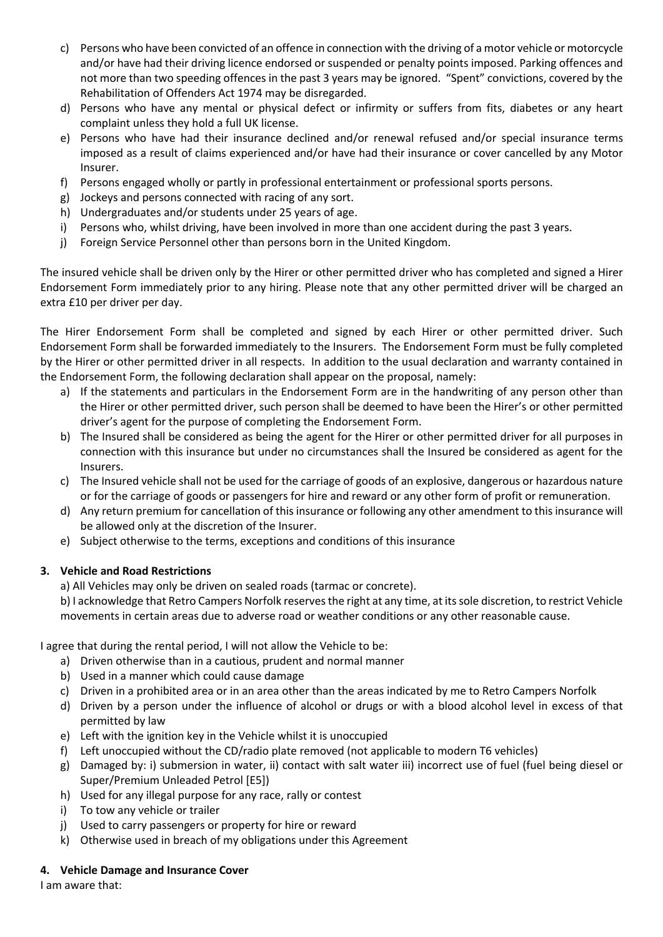- c) Persons who have been convicted of an offence in connection with the driving of a motor vehicle or motorcycle and/or have had their driving licence endorsed or suspended or penalty points imposed. Parking offences and not more than two speeding offences in the past 3 years may be ignored. "Spent" convictions, covered by the Rehabilitation of Offenders Act 1974 may be disregarded.
- d) Persons who have any mental or physical defect or infirmity or suffers from fits, diabetes or any heart complaint unless they hold a full UK license.
- e) Persons who have had their insurance declined and/or renewal refused and/or special insurance terms imposed as a result of claims experienced and/or have had their insurance or cover cancelled by any Motor Insurer.
- f) Persons engaged wholly or partly in professional entertainment or professional sports persons.
- g) Jockeys and persons connected with racing of any sort.
- h) Undergraduates and/or students under 25 years of age.
- i) Persons who, whilst driving, have been involved in more than one accident during the past 3 years.
- j) Foreign Service Personnel other than persons born in the United Kingdom.

The insured vehicle shall be driven only by the Hirer or other permitted driver who has completed and signed a Hirer Endorsement Form immediately prior to any hiring. Please note that any other permitted driver will be charged an extra £10 per driver per day.

The Hirer Endorsement Form shall be completed and signed by each Hirer or other permitted driver. Such Endorsement Form shall be forwarded immediately to the Insurers. The Endorsement Form must be fully completed by the Hirer or other permitted driver in all respects. In addition to the usual declaration and warranty contained in the Endorsement Form, the following declaration shall appear on the proposal, namely:

- a) If the statements and particulars in the Endorsement Form are in the handwriting of any person other than the Hirer or other permitted driver, such person shall be deemed to have been the Hirer's or other permitted driver's agent for the purpose of completing the Endorsement Form.
- b) The Insured shall be considered as being the agent for the Hirer or other permitted driver for all purposes in connection with this insurance but under no circumstances shall the Insured be considered as agent for the Insurers.
- c) The Insured vehicle shall not be used for the carriage of goods of an explosive, dangerous or hazardous nature or for the carriage of goods or passengers for hire and reward or any other form of profit or remuneration.
- d) Any return premium for cancellation of this insurance or following any other amendment to this insurance will be allowed only at the discretion of the Insurer.
- e) Subject otherwise to the terms, exceptions and conditions of this insurance

## **3. Vehicle and Road Restrictions**

a) All Vehicles may only be driven on sealed roads (tarmac or concrete).

b) I acknowledge that Retro Campers Norfolk reserves the right at any time, at its sole discretion, to restrict Vehicle movements in certain areas due to adverse road or weather conditions or any other reasonable cause.

I agree that during the rental period, I will not allow the Vehicle to be:

- a) Driven otherwise than in a cautious, prudent and normal manner
- b) Used in a manner which could cause damage
- c) Driven in a prohibited area or in an area other than the areas indicated by me to Retro Campers Norfolk
- d) Driven by a person under the influence of alcohol or drugs or with a blood alcohol level in excess of that permitted by law
- e) Left with the ignition key in the Vehicle whilst it is unoccupied
- f) Left unoccupied without the CD/radio plate removed (not applicable to modern T6 vehicles)
- g) Damaged by: i) submersion in water, ii) contact with salt water iii) incorrect use of fuel (fuel being diesel or Super/Premium Unleaded Petrol [E5])
- h) Used for any illegal purpose for any race, rally or contest
- i) To tow any vehicle or trailer
- j) Used to carry passengers or property for hire or reward
- k) Otherwise used in breach of my obligations under this Agreement

## **4. Vehicle Damage and Insurance Cover**

I am aware that: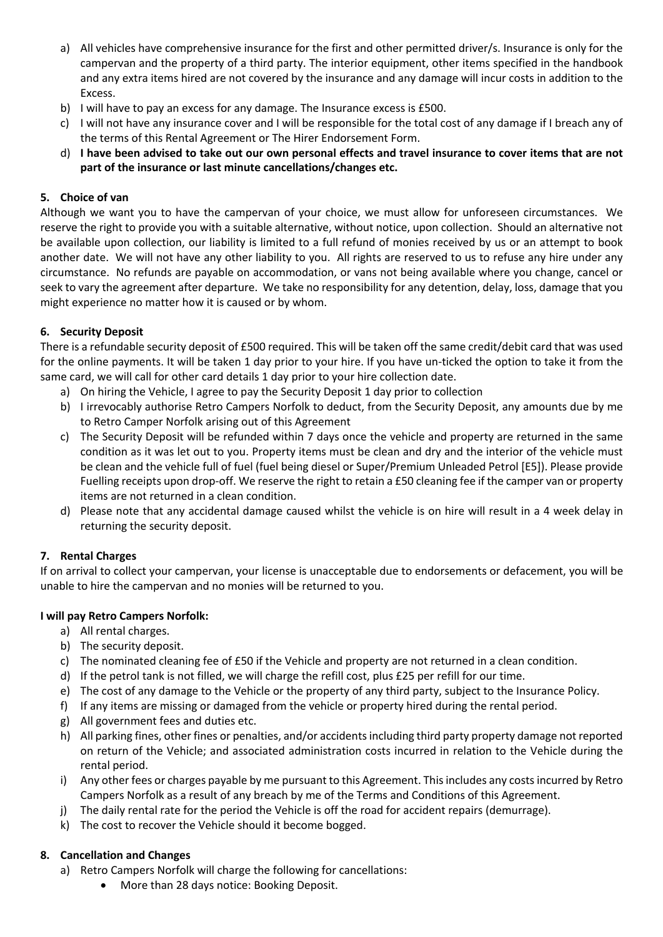- a) All vehicles have comprehensive insurance for the first and other permitted driver/s. Insurance is only for the campervan and the property of a third party. The interior equipment, other items specified in the handbook and any extra items hired are not covered by the insurance and any damage will incur costs in addition to the Excess.
- b) I will have to pay an excess for any damage. The Insurance excess is £500.
- c) I will not have any insurance cover and I will be responsible for the total cost of any damage if I breach any of the terms of this Rental Agreement or The Hirer Endorsement Form.
- d) **I have been advised to take out our own personal effects and travel insurance to cover items that are not part of the insurance or last minute cancellations/changes etc.**

# **5. Choice of van**

Although we want you to have the campervan of your choice, we must allow for unforeseen circumstances. We reserve the right to provide you with a suitable alternative, without notice, upon collection. Should an alternative not be available upon collection, our liability is limited to a full refund of monies received by us or an attempt to book another date. We will not have any other liability to you. All rights are reserved to us to refuse any hire under any circumstance. No refunds are payable on accommodation, or vans not being available where you change, cancel or seek to vary the agreement after departure. We take no responsibility for any detention, delay, loss, damage that you might experience no matter how it is caused or by whom.

## **6. Security Deposit**

There is a refundable security deposit of £500 required. This will be taken off the same credit/debit card that was used for the online payments. It will be taken 1 day prior to your hire. If you have un-ticked the option to take it from the same card, we will call for other card details 1 day prior to your hire collection date.

- a) On hiring the Vehicle, I agree to pay the Security Deposit 1 day prior to collection
- b) I irrevocably authorise Retro Campers Norfolk to deduct, from the Security Deposit, any amounts due by me to Retro Camper Norfolk arising out of this Agreement
- c) The Security Deposit will be refunded within 7 days once the vehicle and property are returned in the same condition as it was let out to you. Property items must be clean and dry and the interior of the vehicle must be clean and the vehicle full of fuel (fuel being diesel or Super/Premium Unleaded Petrol [E5]). Please provide Fuelling receipts upon drop-off. We reserve the right to retain a £50 cleaning fee if the camper van or property items are not returned in a clean condition.
- d) Please note that any accidental damage caused whilst the vehicle is on hire will result in a 4 week delay in returning the security deposit.

# **7. Rental Charges**

If on arrival to collect your campervan, your license is unacceptable due to endorsements or defacement, you will be unable to hire the campervan and no monies will be returned to you.

## **I will pay Retro Campers Norfolk:**

- a) All rental charges.
- b) The security deposit.
- c) The nominated cleaning fee of £50 if the Vehicle and property are not returned in a clean condition.
- d) If the petrol tank is not filled, we will charge the refill cost, plus £25 per refill for our time.
- e) The cost of any damage to the Vehicle or the property of any third party, subject to the Insurance Policy.
- f) If any items are missing or damaged from the vehicle or property hired during the rental period.
- g) All government fees and duties etc.
- h) All parking fines, other fines or penalties, and/or accidents including third party property damage not reported on return of the Vehicle; and associated administration costs incurred in relation to the Vehicle during the rental period.
- i) Any other fees or charges payable by me pursuant to this Agreement. This includes any costs incurred by Retro Campers Norfolk as a result of any breach by me of the Terms and Conditions of this Agreement.
- j) The daily rental rate for the period the Vehicle is off the road for accident repairs (demurrage).
- k) The cost to recover the Vehicle should it become bogged.

## **8. Cancellation and Changes**

- a) Retro Campers Norfolk will charge the following for cancellations:
	- More than 28 days notice: Booking Deposit.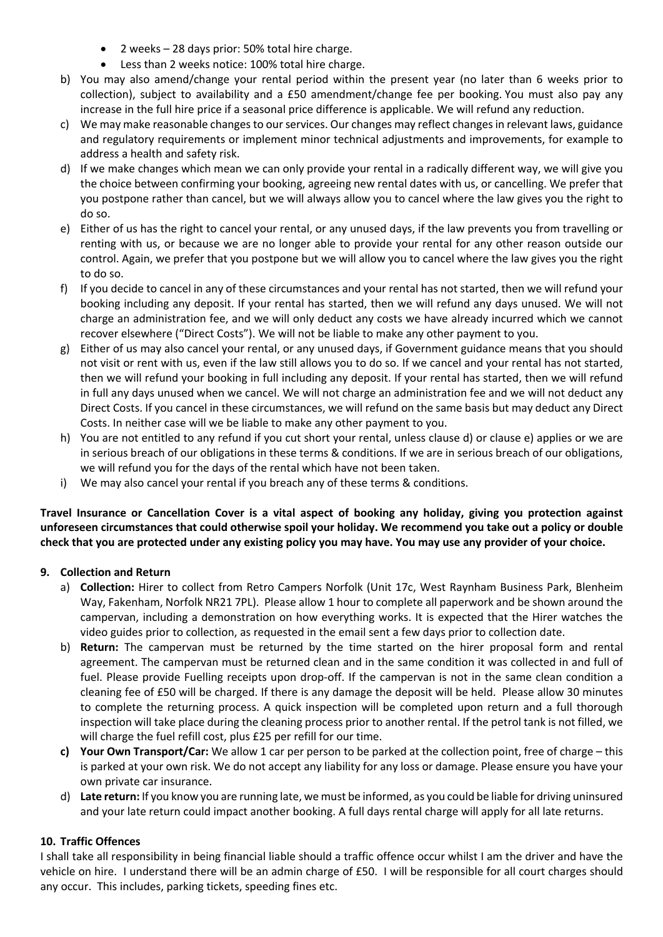- 2 weeks 28 days prior: 50% total hire charge.
- Less than 2 weeks notice: 100% total hire charge.
- b) You may also amend/change your rental period within the present year (no later than 6 weeks prior to collection), subject to availability and a £50 amendment/change fee per booking. You must also pay any increase in the full hire price if a seasonal price difference is applicable. We will refund any reduction.
- c) We may make reasonable changes to our services. Our changes may reflect changes in relevant laws, guidance and regulatory requirements or implement minor technical adjustments and improvements, for example to address a health and safety risk.
- d) If we make changes which mean we can only provide your rental in a radically different way, we will give you the choice between confirming your booking, agreeing new rental dates with us, or cancelling. We prefer that you postpone rather than cancel, but we will always allow you to cancel where the law gives you the right to do so.
- e) Either of us has the right to cancel your rental, or any unused days, if the law prevents you from travelling or renting with us, or because we are no longer able to provide your rental for any other reason outside our control. Again, we prefer that you postpone but we will allow you to cancel where the law gives you the right to do so.
- f) If you decide to cancel in any of these circumstances and your rental has not started, then we will refund your booking including any deposit. If your rental has started, then we will refund any days unused. We will not charge an administration fee, and we will only deduct any costs we have already incurred which we cannot recover elsewhere ("Direct Costs"). We will not be liable to make any other payment to you.
- g) Either of us may also cancel your rental, or any unused days, if Government guidance means that you should not visit or rent with us, even if the law still allows you to do so. If we cancel and your rental has not started, then we will refund your booking in full including any deposit. If your rental has started, then we will refund in full any days unused when we cancel. We will not charge an administration fee and we will not deduct any Direct Costs. If you cancel in these circumstances, we will refund on the same basis but may deduct any Direct Costs. In neither case will we be liable to make any other payment to you.
- h) You are not entitled to any refund if you cut short your rental, unless clause d) or clause e) applies or we are in serious breach of our obligations in these terms & conditions. If we are in serious breach of our obligations, we will refund you for the days of the rental which have not been taken.
- i) We may also cancel your rental if you breach any of these terms & conditions.

**Travel Insurance or Cancellation Cover is a vital aspect of booking any holiday, giving you protection against unforeseen circumstances that could otherwise spoil your holiday. We recommend you take out a policy or double check that you are protected under any existing policy you may have. You may use any provider of your choice.**

## **9. Collection and Return**

- a) **Collection:** Hirer to collect from Retro Campers Norfolk (Unit 17c, West Raynham Business Park, Blenheim Way, Fakenham, Norfolk NR21 7PL). Please allow 1 hour to complete all paperwork and be shown around the campervan, including a demonstration on how everything works. It is expected that the Hirer watches the video guides prior to collection, as requested in the email sent a few days prior to collection date.
- b) **Return:** The campervan must be returned by the time started on the hirer proposal form and rental agreement. The campervan must be returned clean and in the same condition it was collected in and full of fuel. Please provide Fuelling receipts upon drop-off. If the campervan is not in the same clean condition a cleaning fee of £50 will be charged. If there is any damage the deposit will be held. Please allow 30 minutes to complete the returning process. A quick inspection will be completed upon return and a full thorough inspection will take place during the cleaning process prior to another rental. If the petrol tank is not filled, we will charge the fuel refill cost, plus £25 per refill for our time.
- **c) Your Own Transport/Car:** We allow 1 car per person to be parked at the collection point, free of charge this is parked at your own risk. We do not accept any liability for any loss or damage. Please ensure you have your own private car insurance.
- d) **Late return:** If you know you are running late, we must be informed, as you could be liable for driving uninsured and your late return could impact another booking. A full days rental charge will apply for all late returns.

## **10. Traffic Offences**

I shall take all responsibility in being financial liable should a traffic offence occur whilst I am the driver and have the vehicle on hire. I understand there will be an admin charge of £50. I will be responsible for all court charges should any occur. This includes, parking tickets, speeding fines etc.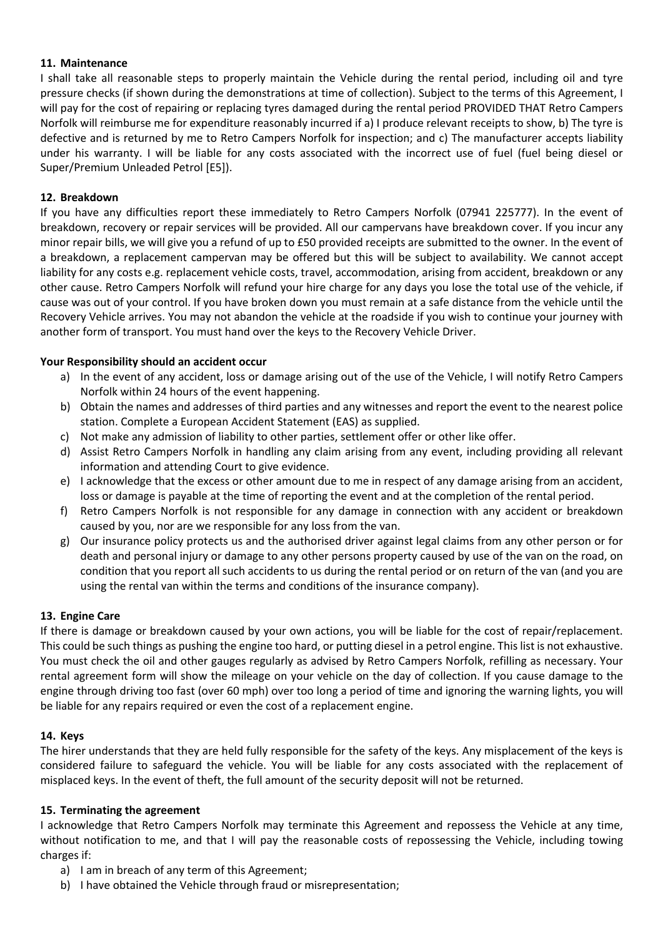#### **11. Maintenance**

I shall take all reasonable steps to properly maintain the Vehicle during the rental period, including oil and tyre pressure checks (if shown during the demonstrations at time of collection). Subject to the terms of this Agreement, I will pay for the cost of repairing or replacing tyres damaged during the rental period PROVIDED THAT Retro Campers Norfolk will reimburse me for expenditure reasonably incurred if a) I produce relevant receipts to show, b) The tyre is defective and is returned by me to Retro Campers Norfolk for inspection; and c) The manufacturer accepts liability under his warranty. I will be liable for any costs associated with the incorrect use of fuel (fuel being diesel or Super/Premium Unleaded Petrol [E5]).

#### **12. Breakdown**

If you have any difficulties report these immediately to Retro Campers Norfolk (07941 225777). In the event of breakdown, recovery or repair services will be provided. All our campervans have breakdown cover. If you incur any minor repair bills, we will give you a refund of up to £50 provided receipts are submitted to the owner. In the event of a breakdown, a replacement campervan may be offered but this will be subject to availability. We cannot accept liability for any costs e.g. replacement vehicle costs, travel, accommodation, arising from accident, breakdown or any other cause. Retro Campers Norfolk will refund your hire charge for any days you lose the total use of the vehicle, if cause was out of your control. If you have broken down you must remain at a safe distance from the vehicle until the Recovery Vehicle arrives. You may not abandon the vehicle at the roadside if you wish to continue your journey with another form of transport. You must hand over the keys to the Recovery Vehicle Driver.

#### **Your Responsibility should an accident occur**

- a) In the event of any accident, loss or damage arising out of the use of the Vehicle, I will notify Retro Campers Norfolk within 24 hours of the event happening.
- b) Obtain the names and addresses of third parties and any witnesses and report the event to the nearest police station. Complete a European Accident Statement (EAS) as supplied.
- c) Not make any admission of liability to other parties, settlement offer or other like offer.
- d) Assist Retro Campers Norfolk in handling any claim arising from any event, including providing all relevant information and attending Court to give evidence.
- e) I acknowledge that the excess or other amount due to me in respect of any damage arising from an accident, loss or damage is payable at the time of reporting the event and at the completion of the rental period.
- f) Retro Campers Norfolk is not responsible for any damage in connection with any accident or breakdown caused by you, nor are we responsible for any loss from the van.
- g) Our insurance policy protects us and the authorised driver against legal claims from any other person or for death and personal injury or damage to any other persons property caused by use of the van on the road, on condition that you report all such accidents to us during the rental period or on return of the van (and you are using the rental van within the terms and conditions of the insurance company).

#### **13. Engine Care**

If there is damage or breakdown caused by your own actions, you will be liable for the cost of repair/replacement. This could be such things as pushing the engine too hard, or putting diesel in a petrol engine. This list is not exhaustive. You must check the oil and other gauges regularly as advised by Retro Campers Norfolk, refilling as necessary. Your rental agreement form will show the mileage on your vehicle on the day of collection. If you cause damage to the engine through driving too fast (over 60 mph) over too long a period of time and ignoring the warning lights, you will be liable for any repairs required or even the cost of a replacement engine.

#### **14. Keys**

The hirer understands that they are held fully responsible for the safety of the keys. Any misplacement of the keys is considered failure to safeguard the vehicle. You will be liable for any costs associated with the replacement of misplaced keys. In the event of theft, the full amount of the security deposit will not be returned.

#### **15. Terminating the agreement**

I acknowledge that Retro Campers Norfolk may terminate this Agreement and repossess the Vehicle at any time, without notification to me, and that I will pay the reasonable costs of repossessing the Vehicle, including towing charges if:

- a) I am in breach of any term of this Agreement;
- b) I have obtained the Vehicle through fraud or misrepresentation;